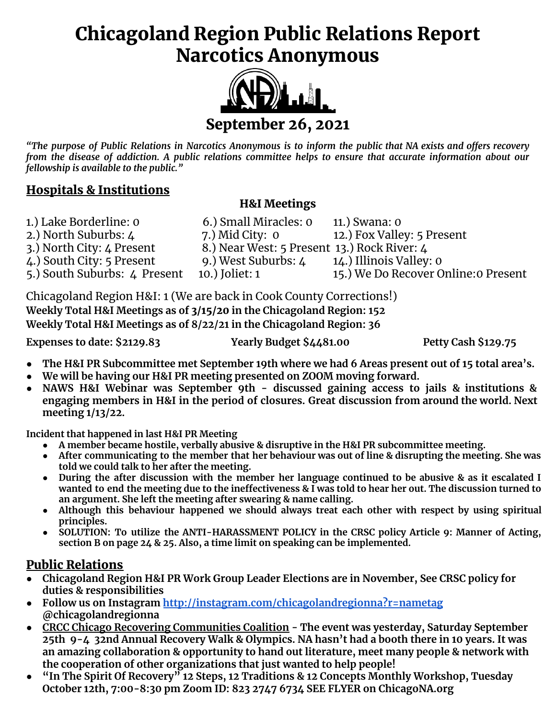# Chicagoland Region Public Relations Report Narcotics Anonymous



"The purpose of Public Relations in Narcotics Anonymous is to inform the public that NA exists and offers recovery from the disease of addiction. A public relations committee helps to ensure that accurate information about our *fellowship is available to the public."*

# Hospitals & Institutions

## H&I Meetings

| 1.) Lake Borderline: 0       | 6.) Small Miracles: 0                       | 11.) Swana: 0                        |
|------------------------------|---------------------------------------------|--------------------------------------|
| 2.) North Suburbs: 4         | 7.) Mid City: $\sigma$                      | 12.) Fox Valley: 5 Present           |
| 3.) North City: 4 Present    | 8.) Near West: 5 Present 13.) Rock River: 4 |                                      |
| 4.) South City: 5 Present    | 9.) West Suburbs: 4                         | 14.) Illinois Valley: 0              |
| 5.) South Suburbs: 4 Present | 10.) Joliet: 1                              | 15.) We Do Recover Online: 0 Present |

Chicagoland Region H&I: 1 (We are back in Cook County Corrections!) **Weekly Total H&I Meetings as of** 3/15/20 **in the Chicagoland Region: 152 Weekly Total H&I Meetings as of 8/22/21 in the Chicagoland Region: 36**

**Expenses to date: \$2129.83 Yearly Budget \$4481.00 Petty Cash \$129.75**

- The H&I PR Subcommittee met September 19th where we had 6 Areas present out of 15 total area's.
- **● We will be having our H&I PR meeting presented on ZOOM moving forward.**
- **● NAWS H&I Webinar was September 9th - discussed gaining access to jails & institutions & engaging members in H&I in the period of closures. Great discussion from around the world. Next meeting 1/13/22.**

**Incident that happened in last H&I PR Meeting**

- **● A member became hostile, verbally abusive & disruptive in the H&I PR subcommittee meeting.**
- After communicating to the member that her behaviour was out of line & disrupting the meeting. She was **told we could talk to her after the meeting.**
- During the after discussion with the member her language continued to be abusive & as it escalated I wanted to end the meeting due to the ineffectiveness & I was told to hear her out. The discussion turned to **an argument. She left the meeting after swearing & name calling.**
- **● Although this behaviour happened we should always treat each other with respect by using spiritual principles.**
- **● SOLUTION: To utilize the ANTI-HARASSMENT POLICY in the CRSC policy Article 9: Manner of Acting, section B on page 24 & 25. Also, a time limit on speaking can be implemented.**

# Public Relations

- **● Chicagoland Region H&I PR Work Group Leader Elections are in November, See CRSC policy for duties & responsibilities**
- **● Follow us on Instagram <http://instagram.com/chicagolandregionna?r=nametag> @chicagolandregionna**
- **● CRCC Chicago Recovering Communities Coalition - The event was yesterday, Saturday September** 25th 9-4 32nd Annual Recovery Walk & Olympics. NA hasn't had a booth there in 10 years. It was **an amazing collaboration & opportunity to hand out literature, meet many people & network with the cooperation of other organizations that just wanted to help people!**
- **● "In The Spirit Of Recovery" 12 Steps, 12 Traditions & 12 Concepts Monthly Workshop, Tuesday October 12th, 7:00-8:30 pm Zoom ID: 823 2747 6734 SEE FLYER on ChicagoNA.org**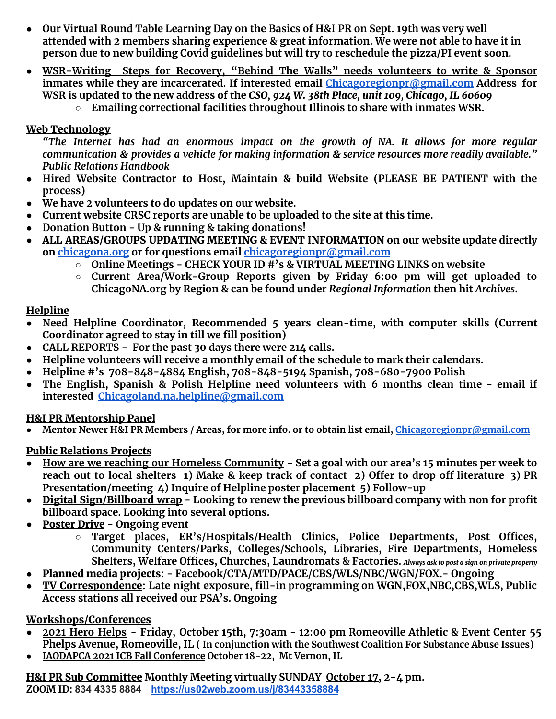- **● Our Virtual Round Table Learning Day on the Basics of H&I PR on Sept. 19th was very well attended with 2 members sharing experience & great information. We were not able to have it in person due to new building Covid guidelines but will try to reschedule the pizza/PI event soon.**
- **● WSR-Writing Steps for Recovery, "Behind The Walls" needs volunteers to write & Sponsor inmates while they are incarcerated. If interested email [Chicagoregionpr@gmail.com](mailto:Chicagoregionpr@gmail.com) Address for** WSR is updated to the new address of the CSO, 924 W. 38th Place, unit 109, Chicago, IL 60609
	- **○ Emailing correctional facilities throughout Illinois to share with inmates WSR.**

#### Web Technology

*"The Internet has had an enormous impact on the growth of NA. It allows for more regular communication & provides a vehicle for making information & service resources more readily available." Public Relations Handbook*

- **● Hired Website Contractor to Host, Maintain & build Website (PLEASE BE PATIENT with the process)**
- **● We have 2 volunteers to do updates on our website.**
- **● Current website CRSC reports are unable to be uploaded to the site at this time.**
- **● Donation Button - Up & running & taking donations!**
- **●** ALL AREAS/GROUPS UPDATING MEETING & EVENT INFORMATION **on our website update directly on [chicagona.org](http://chicagona.org) or for questions email [chicagoregionpr@gmail.com](mailto:chicagoregionpr@gmail.com)**
	- **○ Online Meetings - CHECK YOUR ID #'s & VIRTUAL MEETING LINKS on website**
	- **○ Current Area/Work-Group Reports given by Friday 6:00 pm will get uploaded to ChicagoNA.org by Region & can be found under** *Regional Information* **then hit** *Archives***.**

#### Helpline

- **● Need Helpline Coordinator, Recommended 5 years clean-time, with computer skills (Current Coordinator agreed to stay in till we fill position)**
- **● CALL REPORTS - For the past 30 days there were 214 calls.**
- **● Helpline volunteers will receive a monthly email of the schedule to mark their calendars.**
- **● Helpline #'s 708-848-4884 English, 708-848-5194 Spanish, 708-680-7900 Polish**
- **● The English, Spanish & Polish Helpline need volunteers with 6 months clean time - email if interested [Chicagoland.na.helpline@gmail.com](mailto:Chicagoland.na.helpline@gmail.com)**

#### H&I PR Mentorship Panel

**● Mentor Newer H&I PR Members / Areas, for more info. or to obtain list email, [Chicagoregionpr@gmail.com](mailto:Chicagoregionpr@gmail.com)**

## Public Relations Projects

- How are we reaching our Homeless Community Set a goal with our area's 15 minutes per week to reach out to local shelters 1) Make & keep track of contact 2) Offer to drop off literature 3) PR **Presentation/meeting 4) Inquire of Helpline poster placement 5) Follow-up**
- **●** Digital Sign/Billboard wrap **- Looking to renew the previous billboard company with non for profit billboard space. Looking into several options.**
- **●** Poster Drive **- Ongoing event**
	- **○ Target places, ER's/Hospitals/Health Clinics, Police Departments, Post Offices, Community Centers/Parks, Colleges/Schools, Libraries, Fire Departments, Homeless Shelters, Welfare Offices, Churches, Laundromats & Factories.** *Always ask to post <sup>a</sup> sign on private property*
- **●** Planned media projects**: - Facebook/CTA/MTD/PACE/CBS/WLS/NBC/WGN/FOX.- Ongoing**
- **●** TV Correspondence**: Late night exposure, fill-in programming on WGN,FOX,NBC,CBS,WLS, Public Access stations all received our PSA's. Ongoing**

## Workshops/Conferences

- **2021 Hero Helps - Friday, October 15th, 7:30am - 12:00 pm Romeoville Athletic & Event Center 55 Phelps Avenue, Romeoville, IL ( In conjunction with the Southwest Coalition For Substance Abuse Issues)**
- **● IAODAPCA 2021 ICB Fall Conference October 18-22, Mt Vernon, IL**

H&I PR Sub Committee **Monthly Meeting virtually SUNDAY October 17, 2-4 pm. ZOOM ID: 834 4335 8884 <https://us02web.zoom.us/j/83443358884>**